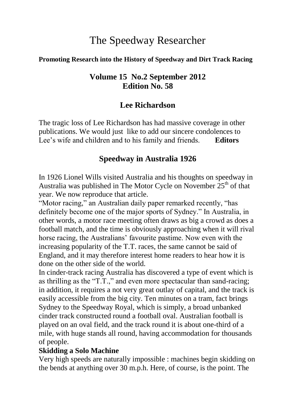# The Speedway Researcher

#### **Promoting Research into the History of Speedway and Dirt Track Racing**

#### **Volume 15 No.2 September 2012 Edition No. 58**

## **Lee Richardson**

The tragic loss of Lee Richardson has had massive coverage in other publications. We would just like to add our sincere condolences to Lee's wife and children and to his family and friends. **Editors**

## **Speedway in Australia 1926**

In 1926 Lionel Wills visited Australia and his thoughts on speedway in Australia was published in The Motor Cycle on November  $25<sup>th</sup>$  of that year. We now reproduce that article.

"Motor racing," an Australian daily paper remarked recently, "has definitely become one of the major sports of Sydney." In Australia, in other words, a motor race meeting often draws as big a crowd as does a football match, and the time is obviously approaching when it will rival horse racing, the Australians' favourite pastime. Now even with the increasing popularity of the T.T. races, the same cannot be said of England, and it may therefore interest home readers to hear how it is done on the other side of the world.

In cinder-track racing Australia has discovered a type of event which is as thrilling as the "T.T.," and even more spectacular than sand-racing; in addition, it requires a not very great outlay of capital, and the track is easily accessible from the big city. Ten minutes on a tram, fact brings Sydney to the Speedway Royal, which is simply, a broad unbanked cinder track constructed round a football oval. Australian football is played on an oval field, and the track round it is about one-third of a mile, with huge stands all round, having accommodation for thousands of people.

#### **Skidding a Solo Machine**

Very high speeds are naturally impossible : machines begin skidding on the bends at anything over 30 m.p.h. Here, of course, is the point. The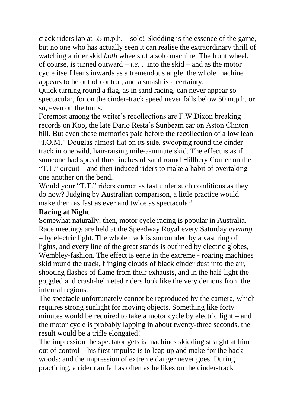crack riders lap at 55 m.p.h. – solo! Skidding is the essence of the game, but no one who has actually seen it can realise the extraordinary thrill of watching a rider skid *both* wheels of a solo machine. The front wheel, of course, is turned outward – *i.e.*, into the skid – and as the motor cycle itself leans inwards as a tremendous angle, the whole machine appears to be out of control, and a smash is a certainty.

Quick turning round a flag, as in sand racing, can never appear so spectacular, for on the cinder-track speed never falls below 50 m.p.h. or so, even on the turns.

Foremost among the writer's recollections are F.W.Dixon breaking records on Kop, the late Dario Resta's Sunbeam car on Aston Clinton hill. But even these memories pale before the recollection of a low lean "I.O.M." Douglas almost flat on its side, swooping round the cindertrack in one wild, hair-raising mile-a-minute skid. The effect is as if someone had spread three inches of sand round Hillbery Corner on the "T.T." circuit – and then induced riders to make a habit of overtaking one another on the bend.

Would your "T.T." riders corner as fast under such conditions as they do now? Judging by Australian comparison, a little practice would make them as fast as ever and twice as spectacular!

#### **Racing at Night**

Somewhat naturally, then, motor cycle racing is popular in Australia. Race meetings are held at the Speedway Royal every Saturday *evening* – by electric light. The whole track is surrounded by a vast ring of lights, and every line of the great stands is outlined by electric globes, Wembley-fashion. The effect is eerie in the extreme - roaring machines skid round the track, flinging clouds of black cinder dust into the air, shooting flashes of flame from their exhausts, and in the half-light the goggled and crash-helmeted riders look like the very demons from the infernal regions.

The spectacle unfortunately cannot be reproduced by the camera, which requires strong sunlight for moving objects. Something like forty minutes would be required to take a motor cycle by electric light – and the motor cycle is probably lapping in about twenty-three seconds, the result would be a trifle elongated!

The impression the spectator gets is machines skidding straight at him out of control – his first impulse is to leap up and make for the back woods: and the impression of extreme danger never goes. During practicing, a rider can fall as often as he likes on the cinder-track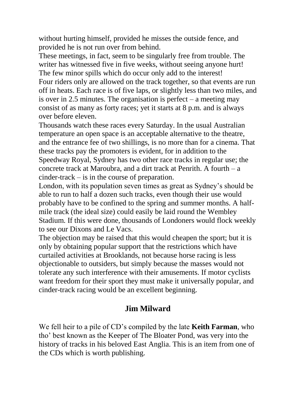without hurting himself, provided he misses the outside fence, and provided he is not run over from behind.

These meetings, in fact, seem to be singularly free from trouble. The writer has witnessed five in five weeks, without seeing anyone hurt! The few minor spills which do occur only add to the interest! Four riders only are allowed on the track together, so that events are run off in heats. Each race is of five laps, or slightly less than two miles, and is over in 2.5 minutes. The organisation is perfect – a meeting may consist of as many as forty races; yet it starts at 8 p.m. and is always over before eleven.

Thousands watch these races every Saturday. In the usual Australian temperature an open space is an acceptable alternative to the theatre, and the entrance fee of two shillings, is no more than for a cinema. That these tracks pay the promoters is evident, for in addition to the Speedway Royal, Sydney has two other race tracks in regular use; the concrete track at Maroubra, and a dirt track at Penrith. A fourth – a cinder-track – is in the course of preparation.

London, with its population seven times as great as Sydney's should be able to run to half a dozen such tracks, even though their use would probably have to be confined to the spring and summer months. A halfmile track (the ideal size) could easily be laid round the Wembley Stadium. If this were done, thousands of Londoners would flock weekly to see our Dixons and Le Vacs.

The objection may be raised that this would cheapen the sport; but it is only by obtaining popular support that the restrictions which have curtailed activities at Brooklands, not because horse racing is less objectionable to outsiders, but simply because the masses would not tolerate any such interference with their amusements. If motor cyclists want freedom for their sport they must make it universally popular, and cinder-track racing would be an excellent beginning.

## **Jim Milward**

We fell heir to a pile of CD's compiled by the late **Keith Farman**, who tho' best known as the Keeper of The Bloater Pond, was very into the history of tracks in his beloved East Anglia. This is an item from one of the CDs which is worth publishing.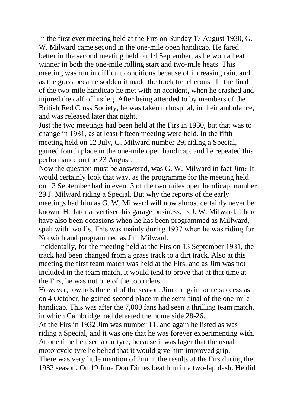In the first ever meeting held at the Firs on Sunday 17 August 1930, G. W. Milward came second in the one-mile open handicap. He fared better in the second meeting held on 14 September, as he won a heat winner in both the one-mile rolling start and two-mile heats. This meeting was run in difficult conditions because of increasing rain, and as the grass became sodden it made the track treacherous. In the final of the two-mile handicap he met with an accident, when he crashed and injured the calf of his leg. After being attended to by members of the British Red Cross Society, he was taken to hospital, in their ambulance, and was released later that night.

Just the two meetings had been held at the Firs in 1930, but that was to change in 1931, as at least fifteen meeting were held. In the fifth meeting held on 12 July, G. Milward number 29, riding a Special, gained fourth place in the one-mile open handicap, and he repeated this performance on the 23 August.

Now the question must be answered, was G. W. Milward in fact Jim? It would certainly look that way, as the programme for the meeting held on 13 September had in event 3 of the two miles open handicap, number 29 J. Milward riding a Special. But why the reports of the early meetings had him as G. W. Milward will now almost certainly never be known. He later advertised his garage business, as J. W. Milward. There have also been occasions when he has been programmed as Millward, spelt with two l's. This was mainly during 1937 when he was riding for Norwich and programmed as Jim Milward.

Incidentally, for the meeting held at the Firs on 13 September 1931, the track had been changed from a grass track to a dirt track. Also at this meeting the first team match was held at the Firs, and as Jim was not included in the team match, it would tend to prove that at that time at the Firs, he was not one of the top riders.

However, towards the end of the season, Jim did gain some success as on 4 October, he gained second place in the semi final of the one-mile handicap. This was after the 7,000 fans had seen a thrilling team match, in which Cambridge had defeated the home side 28-26.

At the Firs in 1932 Jim was number 11, and again he listed as was riding a Special, and it was one that he was forever experimenting with. At one time he used a car tyre, because it was lager that the usual motorcycle tyre he belied that it would give him improved grip. There was very little mention of Jim in the results at the Firs during the 1932 season. On 19 June Don Dimes beat him in a two-lap dash. He did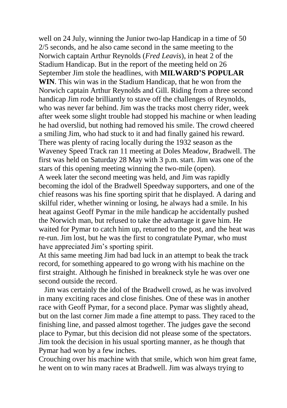well on 24 July, winning the Junior two-lap Handicap in a time of 50 2/5 seconds, and he also came second in the same meeting to the Norwich captain Arthur Reynolds (*Fred Leavis*), in heat 2 of the Stadium Handicap. But in the report of the meeting held on 26 September Jim stole the headlines, with **MILWARD'S POPULAR WIN**. This win was in the Stadium Handicap, that he won from the Norwich captain Arthur Reynolds and Gill. Riding from a three second handicap Jim rode brilliantly to stave off the challenges of Reynolds, who was never far behind. Jim was the tracks most cherry rider, week after week some slight trouble had stopped his machine or when leading he had overslid, but nothing had removed his smile. The crowd cheered a smiling Jim, who had stuck to it and had finally gained his reward. There was plenty of racing locally during the 1932 season as the Waveney Speed Track ran 11 meeting at Doles Meadow, Bradwell. The first was held on Saturday 28 May with 3 p.m. start. Jim was one of the stars of this opening meeting winning the two-mile (open). A week later the second meeting was held, and Jim was rapidly becoming the idol of the Bradwell Speedway supporters, and one of the chief reasons was his fine sporting spirit that he displayed. A daring and skilful rider, whether winning or losing, he always had a smile. In his heat against Geoff Pymar in the mile handicap he accidentally pushed the Norwich man, but refused to take the advantage it gave him. He waited for Pymar to catch him up, returned to the post, and the heat was re-run. Jim lost, but he was the first to congratulate Pymar, who must have appreciated Jim's sporting spirit.

At this same meeting Jim had bad luck in an attempt to beak the track record, for something appeared to go wrong with his machine on the first straight. Although he finished in breakneck style he was over one second outside the record.

 Jim was certainly the idol of the Bradwell crowd, as he was involved in many exciting races and close finishes. One of these was in another race with Geoff Pymar, for a second place. Pymar was slightly ahead, but on the last corner Jim made a fine attempt to pass. They raced to the finishing line, and passed almost together. The judges gave the second place to Pymar, but this decision did not please some of the spectators. Jim took the decision in his usual sporting manner, as he though that Pymar had won by a few inches.

Crouching over his machine with that smile, which won him great fame, he went on to win many races at Bradwell. Jim was always trying to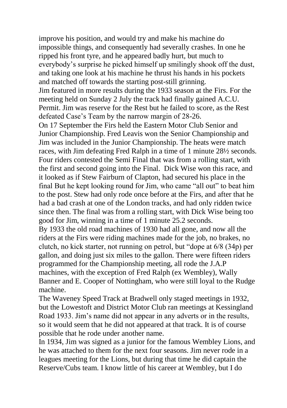improve his position, and would try and make his machine do impossible things, and consequently had severally crashes. In one he ripped his front tyre, and he appeared badly hurt, but much to everybody's surprise he picked himself up smilingly shook off the dust, and taking one look at his machine he thrust his hands in his pockets and matched off towards the starting post-still grinning.

Jim featured in more results during the 1933 season at the Firs. For the meeting held on Sunday 2 July the track had finally gained A.C.U. Permit. Jim was reserve for the Rest but he failed to score, as the Rest defeated Case's Team by the narrow margin of 28-26.

On 17 September the Firs held the Eastern Motor Club Senior and Junior Championship. Fred Leavis won the Senior Championship and Jim was included in the Junior Championship. The heats were match races, with Jim defeating Fred Ralph in a time of 1 minute 28½ seconds. Four riders contested the Semi Final that was from a rolling start, with the first and second going into the Final. Dick Wise won this race, and it looked as if Stew Fairburn of Clapton, had secured his place in the final But he kept looking round for Jim, who came "all out" to beat him to the post. Stew had only rode once before at the Firs, and after that he had a bad crash at one of the London tracks, and had only ridden twice since then. The final was from a rolling start, with Dick Wise being too good for Jim, winning in a time of 1 minute 25.2 seconds.

By 1933 the old road machines of 1930 had all gone, and now all the riders at the Firs were riding machines made for the job, no brakes, no clutch, no kick starter, not running on petrol, but "dope at 6/8 (34p) per gallon, and doing just six miles to the gallon. There were fifteen riders programmed for the Championship meeting, all rode the J.A.P machines, with the exception of Fred Ralph (ex Wembley), Wally Banner and E. Cooper of Nottingham, who were still loyal to the Rudge machine.

The Waveney Speed Track at Bradwell only staged meetings in 1932, but the Lowestoft and District Motor Club ran meetings at Kessingland Road 1933. Jim's name did not appear in any adverts or in the results, so it would seem that he did not appeared at that track. It is of course possible that he rode under another name.

In 1934, Jim was signed as a junior for the famous Wembley Lions, and he was attached to them for the next four seasons. Jim never rode in a leagues meeting for the Lions, but during that time he did captain the Reserve/Cubs team. I know little of his career at Wembley, but I do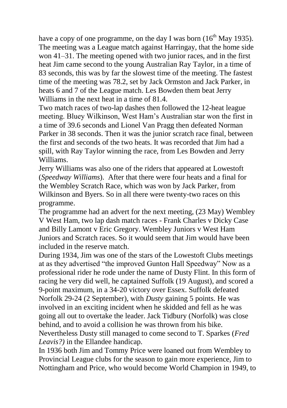have a copy of one programme, on the day I was born  $(16<sup>th</sup>$  May 1935). The meeting was a League match against Harringay, that the home side won 41–31. The meeting opened with two junior races, and in the first heat Jim came second to the young Australian Ray Taylor, in a time of 83 seconds, this was by far the slowest time of the meeting. The fastest time of the meeting was 78.2, set by Jack Ormston and Jack Parker, in heats 6 and 7 of the League match. Les Bowden them beat Jerry Williams in the next heat in a time of 81.4.

Two match races of two-lap dashes then followed the 12-heat league meeting. Bluey Wilkinson, West Ham's Australian star won the first in a time of 39.6 seconds and Lionel Van Pragg then defeated Norman Parker in 38 seconds. Then it was the junior scratch race final, between the first and seconds of the two heats. It was recorded that Jim had a spill, with Ray Taylor winning the race, from Les Bowden and Jerry Williams.

Jerry Williams was also one of the riders that appeared at Lowestoft (*Speedway Williams*). After that there were four heats and a final for the Wembley Scratch Race, which was won by Jack Parker, from Wilkinson and Byers. So in all there were twenty-two races on this programme.

The programme had an advert for the next meeting, (23 May) Wembley V West Ham, two lap dash match races - Frank Charles v Dicky Case and Billy Lamont v Eric Gregory. Wembley Juniors v West Ham Juniors and Scratch races. So it would seem that Jim would have been included in the reserve match.

During 1934, Jim was one of the stars of the Lowestoft Clubs meetings at as they advertised "the improved Gunton Hall Speedway" Now as a professional rider he rode under the name of Dusty Flint. In this form of racing he very did well, he captained Suffolk (19 August), and scored a 9-point maximum, in a 34-20 victory over Essex. Suffolk defeated Norfolk 29-24 (2 September), with *Dusty* gaining 5 points. He was involved in an exciting incident when he skidded and fell as he was going all out to overtake the leader. Jack Tidbury (Norfolk) was close behind, and to avoid a collision he was thrown from his bike. Nevertheless Dusty still managed to come second to T. Sparkes (*Fred Leavis?)* in the Ellandee handicap.

In 1936 both Jim and Tommy Price were loaned out from Wembley to Provincial League clubs for the season to gain more experience, Jim to Nottingham and Price, who would become World Champion in 1949, to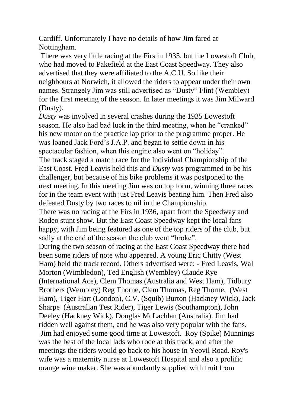Cardiff. Unfortunately I have no details of how Jim fared at Nottingham.

There was very little racing at the Firs in 1935, but the Lowestoft Club, who had moved to Pakefield at the East Coast Speedway. They also advertised that they were affiliated to the A.C.U. So like their neighbours at Norwich, it allowed the riders to appear under their own names. Strangely Jim was still advertised as "Dusty" Flint (Wembley) for the first meeting of the season. In later meetings it was Jim Milward (Dusty).

*Dusty* was involved in several crashes during the 1935 Lowestoft season. He also had bad luck in the third meeting, when he "cranked" his new motor on the practice lap prior to the programme proper. He was loaned Jack Ford's J.A.P. and began to settle down in his spectacular fashion, when this engine also went on "holiday".

The track staged a match race for the Individual Championship of the East Coast. Fred Leavis held this and *Dusty* was programmed to be his challenger, but because of his bike problems it was postponed to the next meeting. In this meeting Jim was on top form, winning three races for in the team event with just Fred Leavis beating him. Then Fred also defeated Dusty by two races to nil in the Championship.

There was no racing at the Firs in 1936, apart from the Speedway and Rodeo stunt show. But the East Coast Speedway kept the local fans happy, with Jim being featured as one of the top riders of the club, but sadly at the end of the season the club went "broke".

During the two season of racing at the East Coast Speedway there had been some riders of note who appeared. A young Eric Chitty (West Ham) held the track record. Others advertised were: - Fred Leavis, Wal Morton (Wimbledon), Ted English (Wembley) Claude Rye (International Ace), Clem Thomas (Australia and West Ham), Tidbury Brothers (Wembley) Reg Thorne, Clem Thomas, Reg Thorne, (West Ham), Tiger Hart (London), C.V. (Squib) Burton (Hackney Wick), Jack Sharpe (Australian Test Rider), Tiger Lewis (Southampton), John Deeley (Hackney Wick), Douglas McLachlan (Australia). Jim had ridden well against them, and he was also very popular with the fans. Jim had enjoyed some good time at Lowestoft. Roy (Spike) Munnings was the best of the local lads who rode at this track, and after the meetings the riders would go back to his house in Yeovil Road. Roy's wife was a maternity nurse at Lowestoft Hospital and also a prolific orange wine maker. She was abundantly supplied with fruit from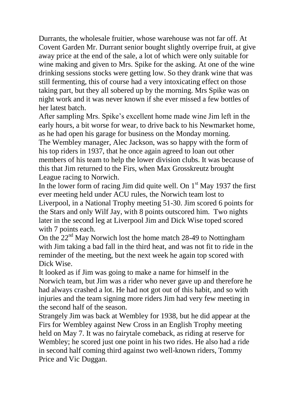Durrants, the wholesale fruitier, whose warehouse was not far off. At Covent Garden Mr. Durrant senior bought slightly overripe fruit, at give away price at the end of the sale, a lot of which were only suitable for wine making and given to Mrs. Spike for the asking. At one of the wine drinking sessions stocks were getting low. So they drank wine that was still fermenting, this of course had a very intoxicating effect on those taking part, but they all sobered up by the morning. Mrs Spike was on night work and it was never known if she ever missed a few bottles of her latest batch.

After sampling Mrs. Spike's excellent home made wine Jim left in the early hours, a bit worse for wear, to drive back to his Newmarket home, as he had open his garage for business on the Monday morning.

The Wembley manager, Alec Jackson, was so happy with the form of his top riders in 1937, that he once again agreed to loan out other members of his team to help the lower division clubs. It was because of this that Jim returned to the Firs, when Max Grosskreutz brought League racing to Norwich.

In the lower form of racing Jim did quite well. On  $1<sup>st</sup>$  May 1937 the first ever meeting held under ACU rules, the Norwich team lost to Liverpool, in a National Trophy meeting 51-30. Jim scored 6 points for the Stars and only Wilf Jay, with 8 points outscored him. Two nights later in the second leg at Liverpool Jim and Dick Wise toped scored with 7 points each.

On the 22nd May Norwich lost the home match 28-49 to Nottingham with Jim taking a bad fall in the third heat, and was not fit to ride in the reminder of the meeting, but the next week he again top scored with Dick Wise.

It looked as if Jim was going to make a name for himself in the Norwich team, but Jim was a rider who never gave up and therefore he had always crashed a lot. He had not got out of this habit, and so with injuries and the team signing more riders Jim had very few meeting in the second half of the season.

Strangely Jim was back at Wembley for 1938, but he did appear at the Firs for Wembley against New Cross in an English Trophy meeting held on May 7. It was no fairytale comeback, as riding at reserve for Wembley; he scored just one point in his two rides. He also had a ride in second half coming third against two well-known riders, Tommy Price and Vic Duggan.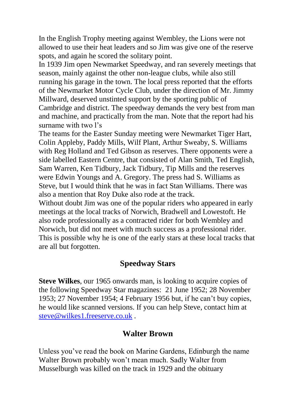In the English Trophy meeting against Wembley, the Lions were not allowed to use their heat leaders and so Jim was give one of the reserve spots, and again he scored the solitary point.

In 1939 Jim open Newmarket Speedway, and ran severely meetings that season, mainly against the other non-league clubs, while also still running his garage in the town. The local press reported that the efforts of the Newmarket Motor Cycle Club, under the direction of Mr. Jimmy Millward, deserved unstinted support by the sporting public of Cambridge and district. The speedway demands the very best from man and machine, and practically from the man. Note that the report had his surname with two l's

The teams for the Easter Sunday meeting were Newmarket Tiger Hart, Colin Appleby, Paddy Mills, Wilf Plant, Arthur Sweaby, S. Williams with Reg Holland and Ted Gibson as reserves. There opponents were a side labelled Eastern Centre, that consisted of Alan Smith, Ted English, Sam Warren, Ken Tidbury, Jack Tidbury, Tip Mills and the reserves were Edwin Youngs and A. Gregory. The press had S. Williams as Steve, but I would think that he was in fact Stan Williams. There was also a mention that Roy Duke also rode at the track.

Without doubt Jim was one of the popular riders who appeared in early meetings at the local tracks of Norwich, Bradwell and Lowestoft. He also rode professionally as a contracted rider for both Wembley and Norwich, but did not meet with much success as a professional rider. This is possible why he is one of the early stars at these local tracks that are all but forgotten.

## **Speedway Stars**

**Steve Wilkes**, our 1965 onwards man, is looking to acquire copies of the following Speedway Star magazines: 21 June 1952; 28 November 1953; 27 November 1954; 4 February 1956 but, if he can't buy copies, he would like scanned versions. If you can help Steve, contact him at [steve@wilkes1.freeserve.co.uk](mailto:steve@wilkes1.freeserve.co.uk) .

#### **Walter Brown**

Unless you've read the book on Marine Gardens, Edinburgh the name Walter Brown probably won't mean much. Sadly Walter from Musselburgh was killed on the track in 1929 and the obituary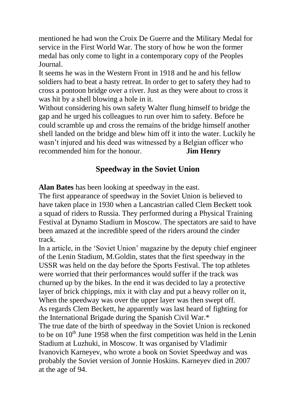mentioned he had won the Croix De Guerre and the Military Medal for service in the First World War. The story of how he won the former medal has only come to light in a contemporary copy of the Peoples Journal.

It seems he was in the Western Front in 1918 and he and his fellow soldiers had to beat a hasty retreat. In order to get to safety they had to cross a pontoon bridge over a river. Just as they were about to cross it was hit by a shell blowing a hole in it.

Without considering his own safety Walter flung himself to bridge the gap and he urged his colleagues to run over him to safety. Before he could scramble up and cross the remains of the bridge himself another shell landed on the bridge and blew him off it into the water. Luckily he wasn't injured and his deed was witnessed by a Belgian officer who recommended him for the honour. **Jim Henry**

## **Speedway in the Soviet Union**

**Alan Bates** has been looking at speedway in the east.

The first appearance of speedway in the Soviet Union is believed to have taken place in 1930 when a Lancastrian called Clem Beckett took a squad of riders to Russia. They performed during a Physical Training Festival at Dynamo Stadium in Moscow. The spectators are said to have been amazed at the incredible speed of the riders around the cinder track.

In a article, in the 'Soviet Union' magazine by the deputy chief engineer of the Lenin Stadium, M.Goldin, states that the first speedway in the USSR was held on the day before the Sports Festival. The top athletes were worried that their performances would suffer if the track was churned up by the bikes. In the end it was decided to lay a protective layer of brick chippings, mix it with clay and put a heavy roller on it, When the speedway was over the upper layer was then swept off. As regards Clem Beckett, he apparently was last heard of fighting for the International Brigade during the Spanish Civil War.\* The true date of the birth of speedway in the Soviet Union is reckoned to be on  $10<sup>th</sup>$  June 1958 when the first competition was held in the Lenin Stadium at Luzhuki, in Moscow. It was organised by Vladimir Ivanovich Karneyev, who wrote a book on Soviet Speedway and was probably the Soviet version of Jonnie Hoskins. Karneyev died in 2007 at the age of 94.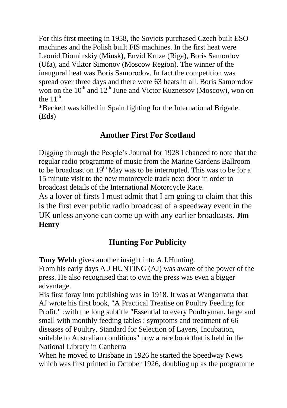For this first meeting in 1958, the Soviets purchased Czech built ESO machines and the Polish built FIS machines. In the first heat were Leonid Diominskiy (Minsk), Envid Kruze (Riga), Boris Samordov (Ufa), and Viktor Simonov (Moscow Region). The winner of the inaugural heat was Boris Samorodov. In fact the competition was spread over three days and there were 63 heats in all. Boris Samorodov won on the  $10^{th}$  and  $12^{th}$  June and Victor Kuznetsov (Moscow), won on the  $11<sup>th</sup>$ .

\*Beckett was killed in Spain fighting for the International Brigade. (**Eds**)

## **Another First For Scotland**

Digging through the People's Journal for 1928 I chanced to note that the regular radio programme of music from the Marine Gardens Ballroom to be broadcast on 19<sup>th</sup> May was to be interrupted. This was to be for a 15 minute visit to the new motorcycle track next door in order to broadcast details of the International Motorcycle Race.

As a lover of firsts I must admit that I am going to claim that this is the first ever public radio broadcast of a speedway event in the UK unless anyone can come up with any earlier broadcasts. **Jim Henry**

## **Hunting For Publicity**

**Tony Webb** gives another insight into A.J.Hunting.

From his early days A J HUNTING (AJ) was aware of the power of the press. He also recognised that to own the press was even a bigger advantage.

His first foray into publishing was in 1918. It was at Wangarratta that AJ wrote his first book, "A Practical Treatise on Poultry Feeding for Profit." :with the long subtitle "Essential to every Poultryman, large and small with monthly feeding tables : symptoms and treatment of 66 diseases of Poultry, Standard for Selection of Layers, Incubation, suitable to Australian conditions" now a rare book that is held in the National Library in Canberra

When he moved to Brisbane in 1926 he started the Speedway News which was first printed in October 1926, doubling up as the programme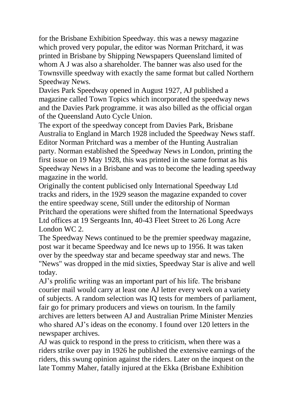for the Brisbane Exhibition Speedway. this was a newsy magazine which proved very popular, the editor was Norman Pritchard, it was printed in Brisbane by Shipping Newspapers Queensland limited of whom A J was also a shareholder. The banner was also used for the Townsville speedway with exactly the same format but called Northern Speedway News.

Davies Park Speedway opened in August 1927, AJ published a magazine called Town Topics which incorporated the speedway news and the Davies Park programme. it was also billed as the official organ of the Queensland Auto Cycle Union.

The export of the speedway concept from Davies Park, Brisbane Australia to England in March 1928 included the Speedway News staff. Editor Norman Pritchard was a member of the Hunting Australian party. Norman established the Speedway News in London, printing the first issue on 19 May 1928, this was printed in the same format as his Speedway News in a Brisbane and was to become the leading speedway magazine in the world.

Originally the content publicised only International Speedway Ltd tracks and riders, in the 1929 season the magazine expanded to cover the entire speedway scene, Still under the editorship of Norman Pritchard the operations were shifted from the International Speedways Ltd offices at 19 Sergeants Inn, 40-43 Fleet Street to 26 Long Acre London WC 2.

The Speedway News continued to be the premier speedway magazine, post war it became Speedway and Ice news up to 1956. It was taken over by the speedway star and became speedway star and news. The "News" was dropped in the mid sixties, Speedway Star is alive and well today.

AJ's prolific writing was an important part of his life. The brisbane courier mail would carry at least one AJ letter every week on a variety of subjects. A random selection was IQ tests for members of parliament, fair go for primary producers and views on tourism. In the family archives are letters between AJ and Australian Prime Minister Menzies who shared AJ's ideas on the economy. I found over 120 letters in the newspaper archives.

AJ was quick to respond in the press to criticism, when there was a riders strike over pay in 1926 he published the extensive earnings of the riders, this swung opinion against the riders. Later on the inquest on the late Tommy Maher, fatally injured at the Ekka (Brisbane Exhibition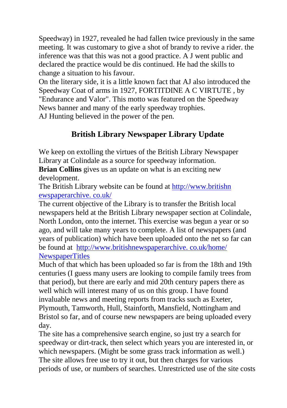Speedway) in 1927, revealed he had fallen twice previously in the same meeting. It was customary to give a shot of brandy to revive a rider. the inference was that this was not a good practice. A J went public and declared the practice would be dis continued. He had the skills to change a situation to his favour.

On the literary side, it is a little known fact that AJ also introduced the Speedway Coat of arms in 1927, FORTITDINE A C VIRTUTE , by "Endurance and Valor". This motto was featured on the Speedway News banner and many of the early speedway trophies.

AJ Hunting believed in the power of the pen.

# **British Library Newspaper Library Update**

We keep on extolling the virtues of the British Library Newspaper Library at Colindale as a source for speedway information.

**Brian Collins** gives us an update on what is an exciting new development.

The British Library website can be found at [http://www.britishn](http://www.britishnewspaperarchive.co.uk/)  [ewspaperarchive. co.uk/](http://www.britishnewspaperarchive.co.uk/)

The current objective of the Library is to transfer the British local newspapers held at the British Library newspaper section at Colindale, North London, onto the internet. This exercise was begun a year or so ago, and will take many years to complete. A list of newspapers (and years of publication) which have been uploaded onto the net so far can be found at http://www.britishnewspaperarchive. co.uk/home/ NewspaperTitles

Much of that which has been uploaded so far is from the 18th and 19th centuries (I guess many users are looking to compile family trees from that period), but there are early and mid 20th century papers there as well which will interest many of us on this group. I have found invaluable news and meeting reports from tracks such as Exeter, Plymouth, Tamworth, Hull, Stainforth, Mansfield, Nottingham and Bristol so far, and of course new newspapers are being uploaded every day.

The site has a comprehensive search engine, so just try a search for speedway or dirt-track, then select which years you are interested in, or which newspapers. (Might be some grass track information as well.) The site allows free use to try it out, but then charges for various periods of use, or numbers of searches. Unrestricted use of the site costs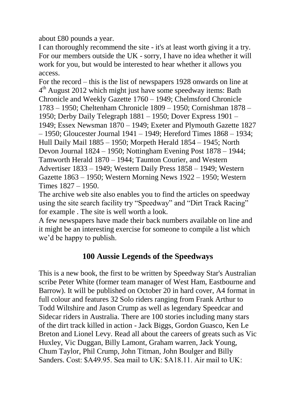about £80 pounds a year.

I can thoroughly recommend the site - it's at least worth giving it a try. For our members outside the UK - sorry, I have no idea whether it will work for you, but would be interested to hear whether it allows you access.

For the record – this is the list of newspapers 1928 onwards on line at 4<sup>th</sup> August 2012 which might just have some speedway items: Bath [Chronicle and Weekly Gazette](http://www.britishnewspaperarchive.co.uk/search/results?newspaperTitle=Bath%20Chronicle%20and%20Weekly%20Gazette) 1760 – 1949; [Chelmsford Chronicle](http://www.britishnewspaperarchive.co.uk/search/results?newspaperTitle=Chelmsford%20Chronicle) 1783 – 1950; [Cheltenham Chronicle](http://www.britishnewspaperarchive.co.uk/search/results?newspaperTitle=Cheltenham%20Chronicle) 1809 – 1950; [Cornishman](http://www.britishnewspaperarchive.co.uk/search/results?newspaperTitle=Cornishman) 1878 – 1950; [Derby Daily Telegraph](http://www.britishnewspaperarchive.co.uk/search/results?newspaperTitle=Derby%20Daily%20Telegraph) 1881 – 1950; [Dover Express](http://www.britishnewspaperarchive.co.uk/search/results?newspaperTitle=Dover%20Express) 1901 – 1949; [Essex Newsman](http://www.britishnewspaperarchive.co.uk/search/results?newspaperTitle=Essex%20Newsman) 1870 – 1949; [Exeter and Plymouth Gazette](http://www.britishnewspaperarchive.co.uk/search/results?newspaperTitle=Exeter%20and%20Plymouth%20Gazette) 1827 – 1950; [Gloucester Journal](http://www.britishnewspaperarchive.co.uk/search/results?newspaperTitle=Gloucester%20Journal) 1941 – 1949; Hereford Times 1868 – 1934; [Hull Daily Mail](http://www.britishnewspaperarchive.co.uk/search/results?newspaperTitle=Hull%20Daily%20Mail) 1885 – 1950; [Morpeth Herald](http://www.britishnewspaperarchive.co.uk/search/results?newspaperTitle=Morpeth%20Herald) 1854 – 1945; [North](http://www.britishnewspaperarchive.co.uk/search/results?newspaperTitle=North%20Devon%20Journal)  [Devon Journal](http://www.britishnewspaperarchive.co.uk/search/results?newspaperTitle=North%20Devon%20Journal) 1824 – 1950; [Nottingham Evening Post](http://www.britishnewspaperarchive.co.uk/search/results?newspaperTitle=Nottingham%20Evening%20Post) 1878 – 1944; [Tamworth Herald](http://www.britishnewspaperarchive.co.uk/search/results?newspaperTitle=Tamworth%20Herald) 1870 – 1944[; Taunton Courier, and Western](http://www.britishnewspaperarchive.co.uk/search/results?newspaperTitle=Taunton%20Courier%2C%20and%20Western%20Advertiser)  [Advertiser](http://www.britishnewspaperarchive.co.uk/search/results?newspaperTitle=Taunton%20Courier%2C%20and%20Western%20Advertiser) 1833 – 1949[; Western Daily Press](http://www.britishnewspaperarchive.co.uk/search/results?newspaperTitle=Western%20Daily%20Press) 1858 – 1949; [Western](http://www.britishnewspaperarchive.co.uk/search/results?newspaperTitle=Western%20Gazette)  [Gazette](http://www.britishnewspaperarchive.co.uk/search/results?newspaperTitle=Western%20Gazette) 1863 – 1950; [Western Morning News](http://www.britishnewspaperarchive.co.uk/search/results?newspaperTitle=Western%20Morning%20News) 1922 – 1950; [Western](http://www.britishnewspaperarchive.co.uk/search/results?newspaperTitle=Western%20Times)  [Times](http://www.britishnewspaperarchive.co.uk/search/results?newspaperTitle=Western%20Times) 1827 – 1950.

The archive web site also enables you to find the articles on speedway using the site search facility try "Speedway" and "Dirt Track Racing" for example . The site is well worth a look.

A few newspapers have made their back numbers available on line and it might be an interesting exercise for someone to compile a list which we'd be happy to publish.

#### **100 Aussie Legends of the Speedways**

This is a new book, the first to be written by Speedway Star's Australian scribe Peter White (former team manager of West Ham, Eastbourne and Barrow). It will be published on October 20 in hard cover, A4 format in full colour and features 32 Solo riders ranging from Frank Arthur to Todd Wiltshire and Jason Crump as well as legendary Speedcar and Sidecar riders in Australia. There are 100 stories including many stars of the dirt track killed in action - Jack Biggs, Gordon Guasco, Ken Le Breton and Lionel Levy. Read all about the careers of greats such as Vic Huxley, Vic Duggan, Billy Lamont, Graham warren, Jack Young, Chum Taylor, Phil Crump, John Titman, John Boulger and Billy Sanders. Cost:  $$A49.95$ . Sea mail to UK:  $$A18.11$ . Air mail to UK: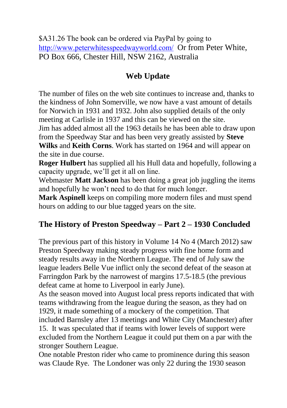\$A31.26 The book can be ordered via PayPal by going to <http://www.peterwhitesspeedwayworld.com/> Or from Peter White, PO Box 666, Chester Hill, NSW 2162, Australia

## **Web Update**

The number of files on the web site continues to increase and, thanks to the kindness of John Somerville, we now have a vast amount of details for Norwich in 1931 and 1932. John also supplied details of the only meeting at Carlisle in 1937 and this can be viewed on the site. Jim has added almost all the 1963 details he has been able to draw upon from the Speedway Star and has been very greatly assisted by **Steve Wilks** and **Keith Corns**. Work has started on 1964 and will appear on the site in due course.

**Roger Hulbert** has supplied all his Hull data and hopefully, following a capacity upgrade, we'll get it all on line.

Webmaster **Matt Jackson** has been doing a great job juggling the items and hopefully he won't need to do that for much longer.

**Mark Aspinell** keeps on compiling more modern files and must spend hours on adding to our blue tagged years on the site.

## **The History of Preston Speedway – Part 2 – 1930 Concluded**

The previous part of this history in Volume 14 No 4 (March 2012) saw Preston Speedway making steady progress with fine home form and steady results away in the Northern League. The end of July saw the league leaders Belle Vue inflict only the second defeat of the season at Farringdon Park by the narrowest of margins 17.5-18.5 (the previous defeat came at home to Liverpool in early June).

As the season moved into August local press reports indicated that with teams withdrawing from the league during the season, as they had on 1929, it made something of a mockery of the competition. That included Barnsley after 13 meetings and White City (Manchester) after 15. It was speculated that if teams with lower levels of support were excluded from the Northern League it could put them on a par with the stronger Southern League.

One notable Preston rider who came to prominence during this season was Claude Rye. The Londoner was only 22 during the 1930 season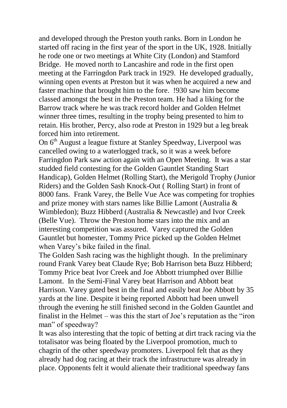and developed through the Preston youth ranks. Born in London he started off racing in the first year of the sport in the UK, 1928. Initially he rode one or two meetings at White City (London) and Stamford Bridge. He moved north to Lancashire and rode in the first open meeting at the Farringdon Park track in 1929. He developed gradually, winning open events at Preston but it was when he acquired a new and faster machine that brought him to the fore. !930 saw him become classed amongst the best in the Preston team. He had a liking for the Barrow track where he was track record holder and Golden Helmet winner three times, resulting in the trophy being presented to him to retain. His brother, Percy, also rode at Preston in 1929 but a leg break forced him into retirement.

On 6th August a league fixture at Stanley Speedway, Liverpool was cancelled owing to a waterlogged track, so it was a week before Farringdon Park saw action again with an Open Meeting. It was a star studded field contesting for the Golden Gauntlet Standing Start Handicap), Golden Helmet (Rolling Start), the Merigold Trophy (Junior Riders) and the Golden Sash Knock-Out ( Rolling Start) in front of 8000 fans. Frank Varey, the Belle Vue Ace was competing for trophies and prize money with stars names like Billie Lamont (Australia & Wimbledon); Buzz Hibberd (Australia & Newcastle) and Ivor Creek (Belle Vue). Throw the Preston home stars into the mix and an interesting competition was assured. Varey captured the Golden Gauntlet but homester, Tommy Price picked up the Golden Helmet when Varey's bike failed in the final.

The Golden Sash racing was the highlight though. In the preliminary round Frank Varey beat Claude Rye; Bob Harrison beta Buzz Hibberd; Tommy Price beat Ivor Creek and Joe Abbott triumphed over Billie Lamont. In the Semi-Final Varey beat Harrison and Abbott beat Harrison. Varey gated best in the final and easily beat Joe Abbott by 35 yards at the line. Despite it being reported Abbott had been unwell through the evening he still finished second in the Golden Gauntlet and finalist in the Helmet – was this the start of Joe's reputation as the "iron man" of speedway?

It was also interesting that the topic of betting at dirt track racing via the totalisator was being floated by the Liverpool promotion, much to chagrin of the other speedway promoters. Liverpool felt that as they already had dog racing at their track the infrastructure was already in place. Opponents felt it would alienate their traditional speedway fans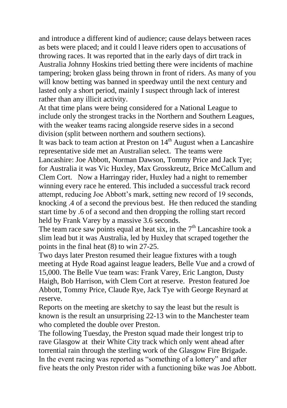and introduce a different kind of audience; cause delays between races as bets were placed; and it could l leave riders open to accusations of throwing races. It was reported that in the early days of dirt track in Australia Johnny Hoskins tried betting there were incidents of machine tampering; broken glass being thrown in front of riders. As many of you will know betting was banned in speedway until the next century and lasted only a short period, mainly I suspect through lack of interest rather than any illicit activity.

At that time plans were being considered for a National League to include only the strongest tracks in the Northern and Southern Leagues, with the weaker teams racing alongside reserve sides in a second division (split between northern and southern sections).

It was back to team action at Preston on  $14<sup>th</sup>$  August when a Lancashire representative side met an Australian select. The teams were Lancashire: Joe Abbott, Norman Dawson, Tommy Price and Jack Tye; for Australia it was Vic Huxley, Max Grosskreutz, Brice McCallum and Clem Cort. Now a Harringay rider, Huxley had a night to remember winning every race he entered. This included a successful track record attempt, reducing Joe Abbott's mark, setting new record of 19 seconds, knocking .4 of a second the previous best. He then reduced the standing start time by .6 of a second and then dropping the rolling start record held by Frank Varey by a massive 3.6 seconds.

The team race saw points equal at heat six, in the  $7<sup>th</sup>$  Lancashire took a slim lead but it was Australia, led by Huxley that scraped together the points in the final heat (8) to win 27-25.

Two days later Preston resumed their league fixtures with a tough meeting at Hyde Road against league leaders, Belle Vue and a crowd of 15,000. The Belle Vue team was: Frank Varey, Eric Langton, Dusty Haigh, Bob Harrison, with Clem Cort at reserve. Preston featured Joe Abbott, Tommy Price, Claude Rye, Jack Tye with George Reynard at reserve.

Reports on the meeting are sketchy to say the least but the result is known is the result an unsurprising 22-13 win to the Manchester team who completed the double over Preston.

The following Tuesday, the Preston squad made their longest trip to rave Glasgow at their White City track which only went ahead after torrential rain through the sterling work of the Glasgow Fire Brigade. In the event racing was reported as "something of a lottery" and after five heats the only Preston rider with a functioning bike was Joe Abbott.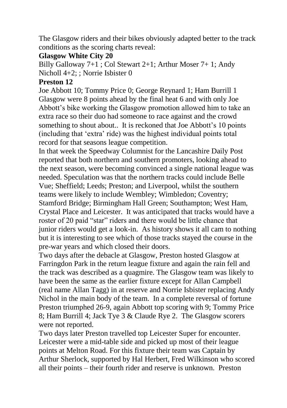The Glasgow riders and their bikes obviously adapted better to the track conditions as the scoring charts reveal:

#### **Glasgow White City 20**

Billy Galloway 7+1 ; Col Stewart 2+1; Arthur Moser 7+ 1; Andy Nicholl 4+2; ; Norrie Isbister 0

#### **Preston 12**

Joe Abbott 10; Tommy Price 0; George Reynard 1; Ham Burrill 1 Glasgow were 8 points ahead by the final heat 6 and with only Joe Abbott's bike working the Glasgow promotion allowed him to take an extra race so their duo had someone to race against and the crowd something to shout about.. It is reckoned that Joe Abbott's 10 points (including that 'extra' ride) was the highest individual points total record for that seasons league competition.

In that week the Speedway Columnist for the Lancashire Daily Post reported that both northern and southern promoters, looking ahead to the next season, were becoming convinced a single national league was needed. Speculation was that the northern tracks could include Belle Vue; Sheffield; Leeds; Preston; and Liverpool, whilst the southern teams were likely to include Wembley; Wimbledon; Coventry; Stamford Bridge; Birmingham Hall Green; Southampton; West Ham, Crystal Place and Leicester. It was anticipated that tracks would have a roster of 20 paid "star" riders and there would be little chance that junior riders would get a look-in. As history shows it all cam to nothing but it is interesting to see which of those tracks stayed the course in the pre-war years and which closed their doors.

Two days after the debacle at Glasgow, Preston hosted Glasgow at Farringdon Park in the return league fixture and again the rain fell and the track was described as a quagmire. The Glasgow team was likely to have been the same as the earlier fixture except for Allan Campbell (real name Allan Tagg) in at reserve and Norrie Isbister replacing Andy Nichol in the main body of the team. In a complete reversal of fortune Preston triumphed 26-9, again Abbott top scoring with 9; Tommy Price 8; Ham Burrill 4; Jack Tye 3 & Claude Rye 2. The Glasgow scorers were not reported.

Two days later Preston travelled top Leicester Super for encounter. Leicester were a mid-table side and picked up most of their league points at Melton Road. For this fixture their team was Captain by Arthur Sherlock, supported by Hal Herbert, Fred Wilkinson who scored all their points – their fourth rider and reserve is unknown. Preston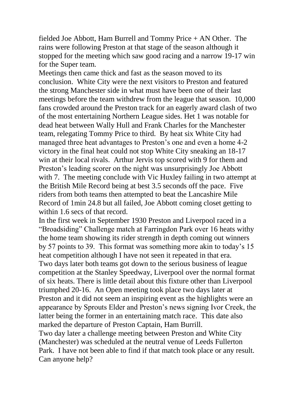fielded Joe Abbott, Ham Burrell and Tommy Price + AN Other. The rains were following Preston at that stage of the season although it stopped for the meeting which saw good racing and a narrow 19-17 win for the Super team.

Meetings then came thick and fast as the season moved to its conclusion. White City were the next visitors to Preston and featured the strong Manchester side in what must have been one of their last meetings before the team withdrew from the league that season. 10,000 fans crowded around the Preston track for an eagerly award clash of two of the most entertaining Northern League sides. Het 1 was notable for dead heat between Wally Hull and Frank Charles for the Manchester team, relegating Tommy Price to third. By heat six White City had managed three heat advantages to Preston's one and even a home 4-2 victory in the final heat could not stop White City sneaking an 18-17 win at their local rivals. Arthur Jervis top scored with 9 for them and Preston's leading scorer on the night was unsurprisingly Joe Abbott with 7. The meeting conclude with Vic Huxley failing in two attempt at the British Mile Record being at best 3.5 seconds off the pace. Five riders from both teams then attempted to beat the Lancashire Mile Record of 1min 24.8 but all failed, Joe Abbott coming closet getting to within 1.6 secs of that record.

In the first week in September 1930 Preston and Liverpool raced in a "Broadsiding" Challenge match at Farringdon Park over 16 heats withy the home team showing its rider strength in depth coming out winners by 57 points to 39. This format was something more akin to today's 15 heat competition although I have not seen it repeated in that era. Two days later both teams got down to the serious business of league competition at the Stanley Speedway, Liverpool over the normal format of six heats. There is little detail about this fixture other than Liverpool triumphed 20-16. An Open meeting took place two days later at Preston and it did not seem an inspiring event as the highlights were an appearance by Sprouts Elder and Preston's news signing Ivor Creek, the latter being the former in an entertaining match race. This date also marked the departure of Preston Captain, Ham Burrill.

Two day later a challenge meeting between Preston and White City (Manchester) was scheduled at the neutral venue of Leeds Fullerton Park. I have not been able to find if that match took place or any result. Can anyone help?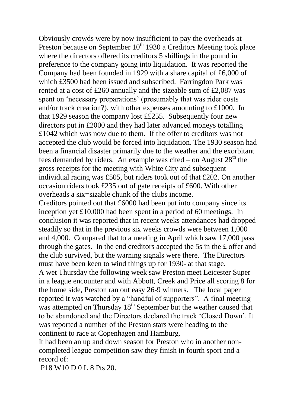Obviously crowds were by now insufficient to pay the overheads at Preston because on September 10<sup>th</sup> 1930 a Creditors Meeting took place where the directors offered its creditors 5 shillings in the pound in preference to the company going into liquidation. It was reported the Company had been founded in 1929 with a share capital of £6,000 of which £3500 had been issued and subscribed. Farringdon Park was rented at a cost of £260 annually and the sizeable sum of £2,087 was spent on 'necessary preparations' (presumably that was rider costs and/or track creation?), with other expenses amounting to £1000. In that 1929 season the company lost ££255. Subsequently four new directors put in £2000 and they had later advanced moneys totalling £1042 which was now due to them. If the offer to creditors was not accepted the club would be forced into liquidation. The 1930 season had been a financial disaster primarily due to the weather and the exorbitant fees demanded by riders. An example was cited – on August  $28<sup>th</sup>$  the gross receipts for the meeting with White City and subsequent individual racing was £505, but riders took out of that £202. On another occasion riders took £235 out of gate receipts of £600. With other overheads a six=sizable chunk of the clubs income.

Creditors pointed out that £6000 had been put into company since its inception yet £10,000 had been spent in a period of 60 meetings. In conclusion it was reported that in recent weeks attendances had dropped steadily so that in the previous six weeks crowds were between 1,000 and 4,000. Compared that to a meeting in April which saw 17,000 pass through the gates. In the end creditors accepted the 5s in the £ offer and the club survived, but the warning signals were there. The Directors must have been keen to wind things up for 1930- at that stage.

A wet Thursday the following week saw Preston meet Leicester Super in a league encounter and with Abbott, Creek and Price all scoring 8 for the home side, Preston ran out easy 26-9 winners. The local paper reported it was watched by a "handful of supporters". A final meeting was attempted on Thursday  $18<sup>th</sup>$  September but the weather caused that to be abandoned and the Directors declared the track 'Closed Down'. It was reported a number of the Preston stars were heading to the continent to race at Copenhagen and Hamburg.

It had been an up and down season for Preston who in another noncompleted league competition saw they finish in fourth sport and a record of:

P<sub>18</sub> W<sub>10</sub> D<sub>0</sub> L<sub>8</sub> P<sub>ts</sub> 2<sub>0</sub>.